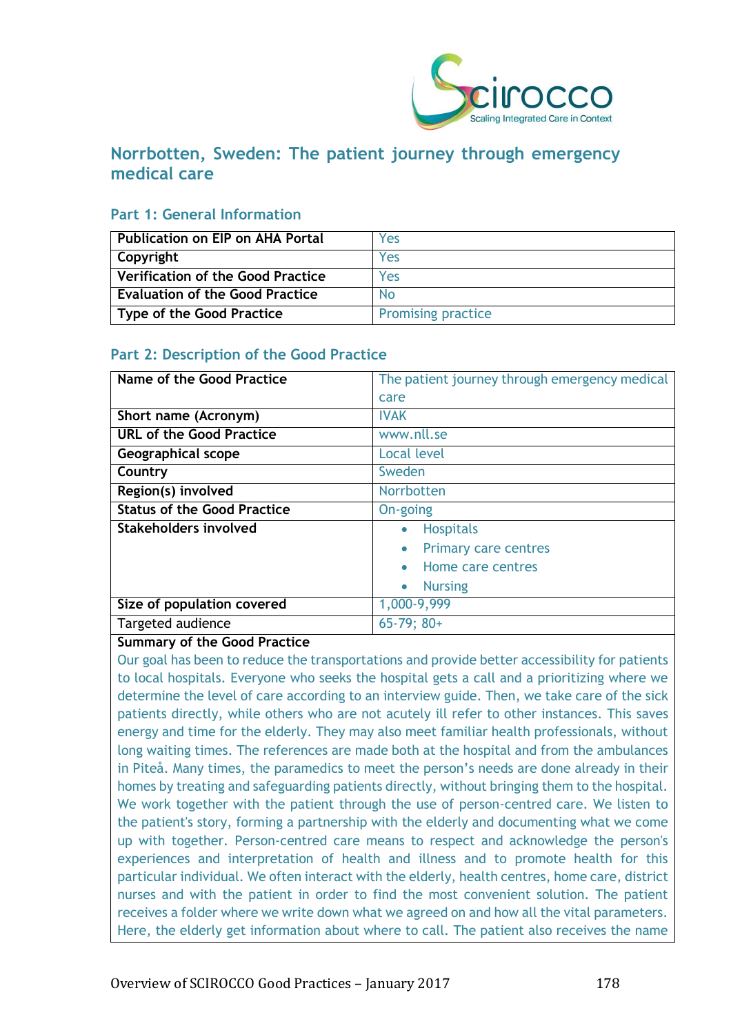

# **Norrbotten, Sweden: The patient journey through emergency medical care**

## **Part 1: General Information**

| <b>Publication on EIP on AHA Portal</b>  | Yes                       |
|------------------------------------------|---------------------------|
| Copyright                                | Yes                       |
| <b>Verification of the Good Practice</b> | Yes                       |
| <b>Evaluation of the Good Practice</b>   | <b>No</b>                 |
| <b>Type of the Good Practice</b>         | <b>Promising practice</b> |

# **Part 2: Description of the Good Practice**

| Name of the Good Practice          | The patient journey through emergency medical |
|------------------------------------|-----------------------------------------------|
|                                    | care                                          |
| Short name (Acronym)               | <b>IVAK</b>                                   |
| <b>URL of the Good Practice</b>    | www.nll.se                                    |
| <b>Geographical scope</b>          | <b>Local level</b>                            |
| Country                            | Sweden                                        |
| Region(s) involved                 | Norrbotten                                    |
| <b>Status of the Good Practice</b> | On-going                                      |
| Stakeholders involved              | <b>Hospitals</b><br>$\bullet$                 |
|                                    | <b>Primary care centres</b>                   |
|                                    | Home care centres                             |
|                                    | <b>Nursing</b><br>$\bullet$                   |
| Size of population covered         | 1,000-9,999                                   |
| Targeted audience                  | $65-79$ ; $80+$                               |

#### **Summary of the Good Practice**

Our goal has been to reduce the transportations and provide better accessibility for patients to local hospitals. Everyone who seeks the hospital gets a call and a prioritizing where we determine the level of care according to an interview guide. Then, we take care of the sick patients directly, while others who are not acutely ill refer to other instances. This saves energy and time for the elderly. They may also meet familiar health professionals, without long waiting times. The references are made both at the hospital and from the ambulances in Piteå. Many times, the paramedics to meet the person's needs are done already in their homes by treating and safeguarding patients directly, without bringing them to the hospital. We work together with the patient through the use of person-centred care. We listen to the patient's story, forming a partnership with the elderly and documenting what we come up with together. Person-centred care means to respect and acknowledge the person's experiences and interpretation of health and illness and to promote health for this particular individual. We often interact with the elderly, health centres, home care, district nurses and with the patient in order to find the most convenient solution. The patient receives a folder where we write down what we agreed on and how all the vital parameters. Here, the elderly get information about where to call. The patient also receives the name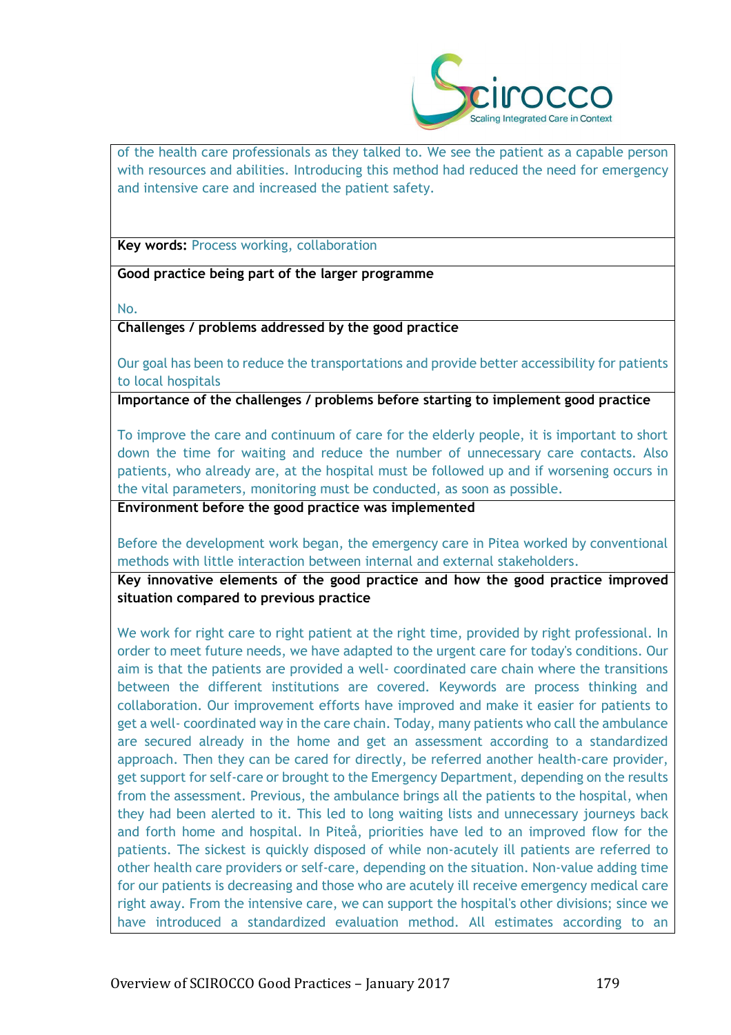

of the health care professionals as they talked to. We see the patient as a capable person with resources and abilities. Introducing this method had reduced the need for emergency and intensive care and increased the patient safety.

**Key words:** Process working, collaboration

**Good practice being part of the larger programme**

No.

**Challenges / problems addressed by the good practice**

Our goal has been to reduce the transportations and provide better accessibility for patients to local hospitals

**Importance of the challenges / problems before starting to implement good practice**

To improve the care and continuum of care for the elderly people, it is important to short down the time for waiting and reduce the number of unnecessary care contacts. Also patients, who already are, at the hospital must be followed up and if worsening occurs in the vital parameters, monitoring must be conducted, as soon as possible.

**Environment before the good practice was implemented** 

Before the development work began, the emergency care in Pitea worked by conventional methods with little interaction between internal and external stakeholders.

**Key innovative elements of the good practice and how the good practice improved situation compared to previous practice**

We work for right care to right patient at the right time, provided by right professional. In order to meet future needs, we have adapted to the urgent care for today's conditions. Our aim is that the patients are provided a well- coordinated care chain where the transitions between the different institutions are covered. Keywords are process thinking and collaboration. Our improvement efforts have improved and make it easier for patients to get a well- coordinated way in the care chain. Today, many patients who call the ambulance are secured already in the home and get an assessment according to a standardized approach. Then they can be cared for directly, be referred another health-care provider, get support for self-care or brought to the Emergency Department, depending on the results from the assessment. Previous, the ambulance brings all the patients to the hospital, when they had been alerted to it. This led to long waiting lists and unnecessary journeys back and forth home and hospital. In Piteå, priorities have led to an improved flow for the patients. The sickest is quickly disposed of while non-acutely ill patients are referred to other health care providers or self-care, depending on the situation. Non-value adding time for our patients is decreasing and those who are acutely ill receive emergency medical care right away. From the intensive care, we can support the hospital's other divisions; since we have introduced a standardized evaluation method. All estimates according to an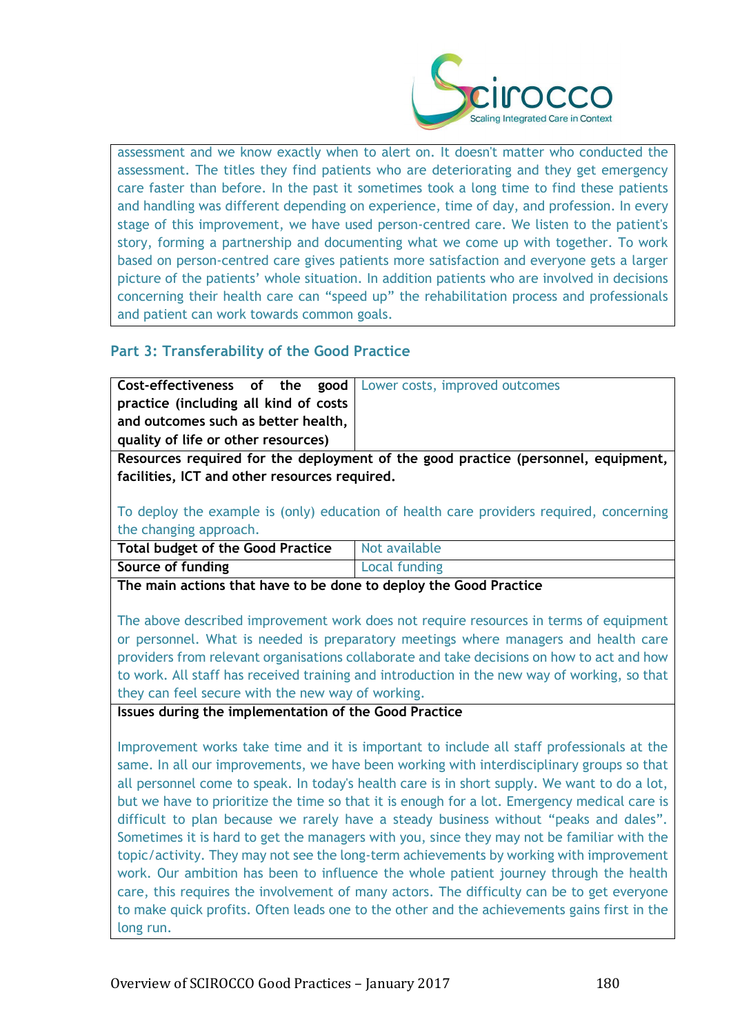

assessment and we know exactly when to alert on. It doesn't matter who conducted the assessment. The titles they find patients who are deteriorating and they get emergency care faster than before. In the past it sometimes took a long time to find these patients and handling was different depending on experience, time of day, and profession. In every stage of this improvement, we have used person-centred care. We listen to the patient's story, forming a partnership and documenting what we come up with together. To work based on person-centred care gives patients more satisfaction and everyone gets a larger picture of the patients' whole situation. In addition patients who are involved in decisions concerning their health care can "speed up" the rehabilitation process and professionals and patient can work towards common goals.

# **Part 3: Transferability of the Good Practice**

|                                       |  | <b>Cost-effectiveness of the good</b> Lower costs, improved outcomes |
|---------------------------------------|--|----------------------------------------------------------------------|
| practice (including all kind of costs |  |                                                                      |
| and outcomes such as better health,   |  |                                                                      |
| quality of life or other resources)   |  |                                                                      |
|                                       |  |                                                                      |

**Resources required for the deployment of the good practice (personnel, equipment, facilities, ICT and other resources required.**

To deploy the example is (only) education of health care providers required, concerning the changing approach.

| <b>Total budget of the Good Practice</b> | Not available        |
|------------------------------------------|----------------------|
| Source of funding                        | <b>Local funding</b> |
| ____                                     |                      |

**The main actions that have to be done to deploy the Good Practice**

The above described improvement work does not require resources in terms of equipment or personnel. What is needed is preparatory meetings where managers and health care providers from relevant organisations collaborate and take decisions on how to act and how to work. All staff has received training and introduction in the new way of working, so that they can feel secure with the new way of working.

**Issues during the implementation of the Good Practice**

Improvement works take time and it is important to include all staff professionals at the same. In all our improvements, we have been working with interdisciplinary groups so that all personnel come to speak. In today's health care is in short supply. We want to do a lot, but we have to prioritize the time so that it is enough for a lot. Emergency medical care is difficult to plan because we rarely have a steady business without "peaks and dales". Sometimes it is hard to get the managers with you, since they may not be familiar with the topic/activity. They may not see the long-term achievements by working with improvement work. Our ambition has been to influence the whole patient journey through the health care, this requires the involvement of many actors. The difficulty can be to get everyone to make quick profits. Often leads one to the other and the achievements gains first in the long run.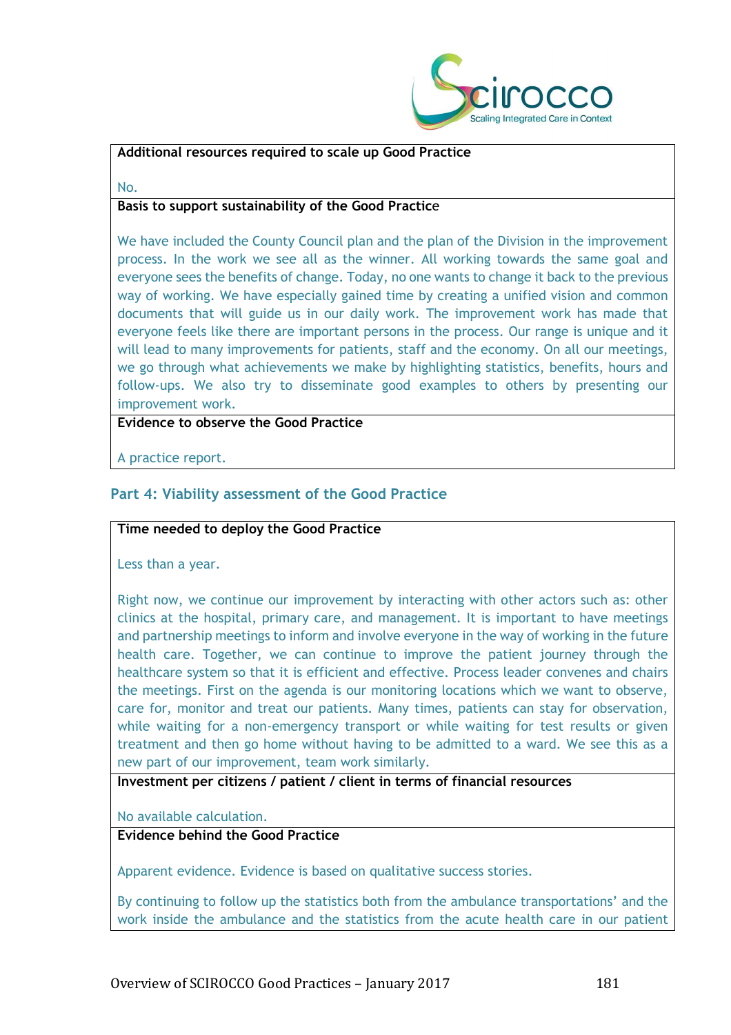

#### **Additional resources required to scale up Good Practice**

No.

### **Basis to support sustainability of the Good Practic**e

We have included the County Council plan and the plan of the Division in the improvement process. In the work we see all as the winner. All working towards the same goal and everyone sees the benefits of change. Today, no one wants to change it back to the previous way of working. We have especially gained time by creating a unified vision and common documents that will guide us in our daily work. The improvement work has made that everyone feels like there are important persons in the process. Our range is unique and it will lead to many improvements for patients, staff and the economy. On all our meetings, we go through what achievements we make by highlighting statistics, benefits, hours and follow-ups. We also try to disseminate good examples to others by presenting our improvement work.

#### **Evidence to observe the Good Practice**

A practice report.

# **Part 4: Viability assessment of the Good Practice**

#### **Time needed to deploy the Good Practice**

Less than a year.

Right now, we continue our improvement by interacting with other actors such as: other clinics at the hospital, primary care, and management. It is important to have meetings and partnership meetings to inform and involve everyone in the way of working in the future health care. Together, we can continue to improve the patient journey through the healthcare system so that it is efficient and effective. Process leader convenes and chairs the meetings. First on the agenda is our monitoring locations which we want to observe, care for, monitor and treat our patients. Many times, patients can stay for observation, while waiting for a non-emergency transport or while waiting for test results or given treatment and then go home without having to be admitted to a ward. We see this as a new part of our improvement, team work similarly.

**Investment per citizens / patient / client in terms of financial resources**

No available calculation.

# **Evidence behind the Good Practice**

Apparent evidence. Evidence is based on qualitative success stories.

By continuing to follow up the statistics both from the ambulance transportations' and the work inside the ambulance and the statistics from the acute health care in our patient